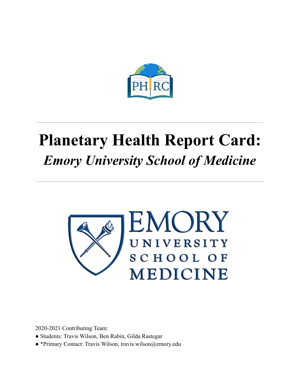

# **Planetary Health Report Card:** *Emory University School of Medicine*



2020-2021 Contributing Team:

- Students: Travis Wilson, Ben Rabin, Gilda Rastegar
- \*Primary Contact: Travis Wilson, travis.wilson@emory.edu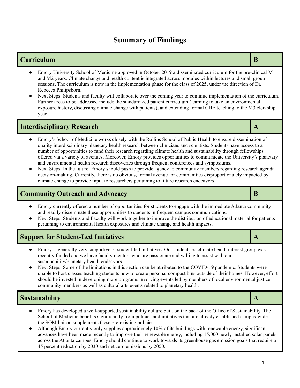### **Summary of Findings**

#### **Curriculum B**

- Emory University School of Medicine approved in October 2019 a disseminated curriculum for the pre-clinical M1 and M2 years. Climate change and health content is integrated across modules within lectures and small group sessions. The curriculum is now in the implementation phase for the class of 2025, under the direction of Dr. Rebecca Philipsborn.
- Next Steps: Students and faculty will collaborate over the coming year to continue implementation of the curriculum. Further areas to be addressed include the standardized patient curriculum (learning to take an environmental exposure history, discussing climate change with patients), and extending formal CHE teaching to the M3 clerkship year.

### **Interdisciplinary Research A**

- Emory's School of Medicine works closely with the Rollins School of Public Health to ensure dissemination of quality interdisciplinary planetary health research between clinicians and scientists. Students have access to a number of opportunities to fund their research regarding climate health and sustainability through fellowships offered via a variety of avenues. Moreover, Emory provides opportunities to communicate the University's planetary and environmental health research discoveries through frequent conferences and symposiums.
- Next Steps: In the future, Emory should push to provide agency to community members regarding research agenda decision-making. Currently, there is no obvious, formal avenue for communities disproportionately impacted by climate change to provide input to researchers pertaining to future research endeavors.

### **Community Outreach and Advocacy B**

- Emory currently offered a number of opportunities for students to engage with the immediate Atlanta community and readily disseminate these opportunities to students in frequent campus communications.
- Next Steps: Students and Faculty will work together to improve the distribution of educational material for patients pertaining to environmental health exposures and climate change and health impacts.

### **Support** for Student-Led Initiatives **A**

- Emory is generally very supportive of student-led initiatives. Our student-led climate health interest group was recently funded and we have faculty mentors who are passionate and willing to assist with our sustainability/planetary health endeavors.
- Next Steps: Some of the limitations in this section can be attributed to the COVID-19 pandemic. Students were unable to host classes teaching students how to create personal compost bins outside of their homes. However, effort should be invested in developing more programs involving events led by members of local environmental justice community members as well as cultural arts events related to planetary health.

### **Sustainability A**

- Emory has developed a well-supported sustainability culture built on the back of the Office of Sustainability. The School of Medicine benefits significantly from policies and initiatives that are already established campus-wide the SOM liaison supplements these pre-existing policies.
- Although Emory currently only supplies approximately 10% of its buildings with renewable energy, significant advances have been made recently to improve their renewable energy, including 15,000 newly installed solar panels across the Atlanta campus. Emory should continue to work towards its greenhouse gas emission goals that require a 45 percent reduction by 2030 and net zero emissions by 2050.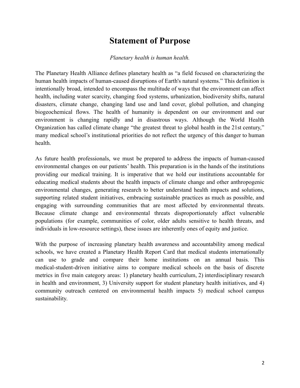### **Statement of Purpose**

#### *Planetary health is human health.*

The Planetary Health Alliance defines planetary health as "a field focused on characterizing the human health impacts of human-caused disruptions of Earth's natural systems." This definition is intentionally broad, intended to encompass the multitude of ways that the environment can affect health, including water scarcity, changing food systems, urbanization, biodiversity shifts, natural disasters, climate change, changing land use and land cover, global pollution, and changing biogeochemical flows. The health of humanity is dependent on our environment and our environment is changing rapidly and in disastrous ways. Although the World Health Organization has called climate change "the greatest threat to global health in the 21st century," many medical school's institutional priorities do not reflect the urgency of this danger to human health.

As future health professionals, we must be prepared to address the impacts of human-caused environmental changes on our patients' health. This preparation is in the hands of the institutions providing our medical training. It is imperative that we hold our institutions accountable for educating medical students about the health impacts of climate change and other anthropogenic environmental changes, generating research to better understand health impacts and solutions, supporting related student initiatives, embracing sustainable practices as much as possible, and engaging with surrounding communities that are most affected by environmental threats. Because climate change and environmental threats disproportionately affect vulnerable populations (for example, communities of color, older adults sensitive to health threats, and individuals in low-resource settings), these issues are inherently ones of equity and justice.

With the purpose of increasing planetary health awareness and accountability among medical schools, we have created a Planetary Health Report Card that medical students internationally can use to grade and compare their home institutions on an annual basis. This medical-student-driven initiative aims to compare medical schools on the basis of discrete metrics in five main category areas: 1) planetary health curriculum, 2) interdisciplinary research in health and environment, 3) University support for student planetary health initiatives, and 4) community outreach centered on environmental health impacts 5) medical school campus sustainability.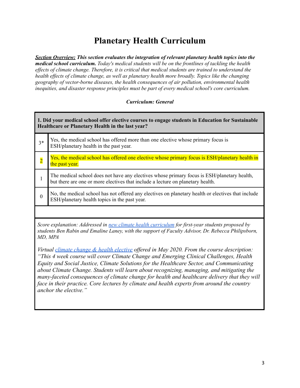# **Planetary Health Curriculum**

*Section Overview: This section evaluates the integration of relevant planetary health topics into the medical school curriculum. Today's medical students will be on the frontlines of tackling the health ef ects of climate change. Therefore, it is critical that medical students are trained to understand the health ef ects of climate change, as well as planetary health more broadly. Topics like the changing geography of vector-borne diseases, the health consequences of air pollution, environmental health inequities, and disaster response principles must be part of every medical school's core curriculum.*

#### *Curriculum: General*

| 1. Did your medical school offer elective courses to engage students in Education for Sustainable<br>Healthcare or Planetary Health in the last year?                                                                                                                                                                                                                                                                                                                                                                                                                                                   |                                                                                                                                                                                |
|---------------------------------------------------------------------------------------------------------------------------------------------------------------------------------------------------------------------------------------------------------------------------------------------------------------------------------------------------------------------------------------------------------------------------------------------------------------------------------------------------------------------------------------------------------------------------------------------------------|--------------------------------------------------------------------------------------------------------------------------------------------------------------------------------|
| $3*$                                                                                                                                                                                                                                                                                                                                                                                                                                                                                                                                                                                                    | Yes, the medical school has offered more than one elective whose primary focus is<br>ESH/planetary health in the past year.                                                    |
| $\overline{2}$                                                                                                                                                                                                                                                                                                                                                                                                                                                                                                                                                                                          | Yes, the medical school has offered one elective whose primary focus is ESH/planetary health in<br>the past year.                                                              |
| 1                                                                                                                                                                                                                                                                                                                                                                                                                                                                                                                                                                                                       | The medical school does not have any electives whose primary focus is ESH/planetary health,<br>but there are one or more electives that include a lecture on planetary health. |
| $\mathbf{0}$                                                                                                                                                                                                                                                                                                                                                                                                                                                                                                                                                                                            | No, the medical school has not offered any electives on planetary health or electives that include<br>ESH/planetary health topics in the past year.                            |
|                                                                                                                                                                                                                                                                                                                                                                                                                                                                                                                                                                                                         |                                                                                                                                                                                |
| Score explanation: Addressed in new climate health curriculum for first-year students proposed by<br>students Ben Rabin and Emaline Laney, with the support of Faculty Advisor, Dr. Rebecca Philipsborn,<br>MD, MPA                                                                                                                                                                                                                                                                                                                                                                                     |                                                                                                                                                                                |
| Virtual climate change & health elective offered in May 2020. From the course description:<br>"This 4 week course will cover Climate Change and Emerging Clinical Challenges, Health<br>Equity and Social Justice, Climate Solutions for the Healthcare Sector, and Communicating<br>about Climate Change. Students will learn about recognizing, managing, and mitigating the<br>many-faceted consequences of climate change for health and healthcare delivery that they will<br>face in their practice. Core lectures by climate and health experts from around the country<br>anchor the elective." |                                                                                                                                                                                |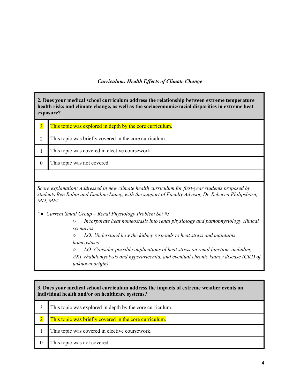#### *Curriculum: Health Ef ects of Climate Change*

**2. Does your medical school curriculum address the relationship between extreme temperature health risks and climate change, as well as the socioeconomic/racial disparities in extreme heat exposure?**

| This topic was explored in depth by the core curriculum. |
|----------------------------------------------------------|
| This topic was briefly covered in the core curriculum.   |
| This topic was covered in elective coursework.           |
| This topic was not covered.                              |
|                                                          |

*Score explanation: Addressed in new climate health curriculum for first-year students proposed by students Ben Rabin and Emaline Laney, with the support of Faculty Advisor, Dr. Rebecca Philipsborn, MD, MPA*

*"● Current Small Group – Renal Physiology Problem Set #3*

*○ Incorporate heat homeostasis into renal physiology and pathophysiology clinical scenarios*

*○ LO: Understand how the kidney responds to heat stress and maintains homeostasis*

*○ LO: Consider possible implications of heat stress on renal function, including AKI, rhabdomyolysis and hyperuricemia, and eventual chronic kidney disease (CKD of unknown origin)"*

# **3. Does your medical school curriculum address the impacts of extreme weather events on individual health and/or on healthcare systems?** 3 This topic was explored in depth by the core curriculum. 2 This topic was briefly covered in the core curriculum. 1 This topic was covered in elective coursework. 0 This topic was not covered.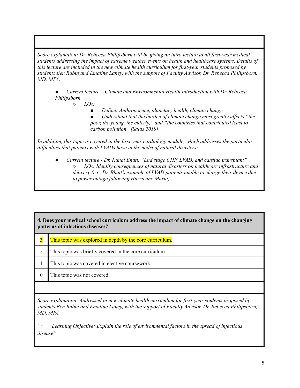*Score explanation: Dr. Rebecca Philipsborn will be giving an intro lecture to all first-year medical students addressing the impact of extreme weather events on health and healthcare systems. Details of this lecture are included in the new climate health curriculum for first-year students proposed by students Ben Rabin and Emaline Laney, with the support of Faculty Advisor, Dr. Rebecca Philipsborn, MD, MPA:*

*● Current lecture – Climate and Environmental Health Introduction with Dr. Rebecca Philipsborn*

- *○ LOs:*
	- *■ Define: Anthropocene, planetary health, climate change*

*■ Understand that the burden of climate change most greatly af ects "the poor, the young, the elderly," and "the countries that contributed least to carbon pollution" (Salas 2019)*

*In addition, this topic is covered in the first-year cardiology module, which addresses the particular dif iculties that patients with LVADs have in the midst of natural disasters:*

*● Current lecture - Dr. Kunal Bhatt, "End stage CHF, LVAD, and cardiac transplant" ○ LOs: Identify consequences of natural disasters on healthcare infrastructure and delivery (e.g. Dr. Bhatt's example of LVAD patients unable to charge their device due to power outage following Hurricane Maria)*

**4. Does your medical school curriculum address the impact of climate change on the changing patterns of infectious diseases?**

- 3 This topic was explored in depth by the core curriculum.
- 2 This topic was briefly covered in the core curriculum.
- 1 This topic was covered in elective coursework.
- 0 This topic was not covered.

*Score explanation: Addressed in new climate health curriculum for first-year students proposed by students Ben Rabin and Emaline Laney, with the support of Faculty Advisor, Dr. Rebecca Philipsborn, MD, MPA*

*"○ Learning Objective: Explain the role of environmental factors in the spread of infectious disease"*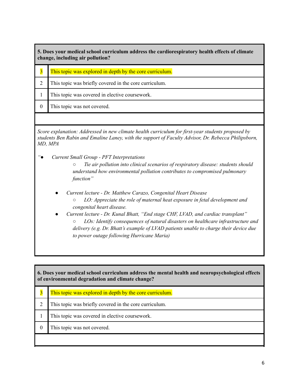| 5. Does your medical school curriculum address the cardiorespiratory health effects of climate<br>change, including air pollution? |                                                          |
|------------------------------------------------------------------------------------------------------------------------------------|----------------------------------------------------------|
| $\overline{3}$                                                                                                                     | This topic was explored in depth by the core curriculum. |
|                                                                                                                                    | This topic was briefly covered in the core curriculum.   |
|                                                                                                                                    | This topic was covered in elective coursework.           |
|                                                                                                                                    | This topic was not covered.                              |

*Score explanation: Addressed in new climate health curriculum for first-year students proposed by students Ben Rabin and Emaline Laney, with the support of Faculty Advisor, Dr. Rebecca Philipsborn, MD, MPA*

*"● Current Small Group - PFT Interpretations*

*○ Tie air pollution into clinical scenarios of respiratory disease: students should understand how environmental pollution contributes to compromised pulmonary function"*

- *● Current lecture - Dr. Matthew Carazo, Congenital Heart Disease ○ LO: Appreciate the role of maternal heat exposure in fetal development and congenital heart disease.*
- *● Current lecture - Dr. Kunal Bhatt, "End stage CHF, LVAD, and cardiac transplant" ○ LOs: Identify consequences of natural disasters on healthcare infrastructure and delivery (e.g. Dr. Bhatt's example of LVAD patients unable to charge their device due to power outage following Hurricane Maria)*

| 6. Does your medical school curriculum address the mental health and neuropsychological effects<br>of environmental degradation and climate change? |                                                          |
|-----------------------------------------------------------------------------------------------------------------------------------------------------|----------------------------------------------------------|
| $\overline{\mathbf{3}}$                                                                                                                             | This topic was explored in depth by the core curriculum. |
| $\overline{2}$                                                                                                                                      | This topic was briefly covered in the core curriculum.   |
|                                                                                                                                                     | This topic was covered in elective coursework.           |
| $\theta$                                                                                                                                            | This topic was not covered.                              |
|                                                                                                                                                     |                                                          |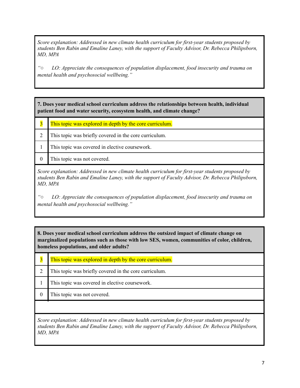*Score explanation: Addressed in new climate health curriculum for first-year students proposed by students Ben Rabin and Emaline Laney, with the support of Faculty Advisor, Dr. Rebecca Philipsborn, MD, MPA*

*"○ LO: Appreciate the consequences of population displacement, food insecurity and trauma on mental health and psychosocial wellbeing."*

**7. Does your medical school curriculum address the relationships between health, individual patient food and water security, ecosystem health, and climate change?**

**3** This topic was explored in depth by the core curriculum. 2 This topic was briefly covered in the core curriculum. 1 This topic was covered in elective coursework. 0 This topic was not covered. *Score explanation: Addressed in new climate health curriculum for first-year students proposed by students Ben Rabin and Emaline Laney, with the support of Faculty Advisor, Dr. Rebecca Philipsborn, MD, MPA*

*"○ LO: Appreciate the consequences of population displacement, food insecurity and trauma on mental health and psychosocial wellbeing."*

**8. Does your medical school curriculum address the outsized impact of climate change on marginalized populations such as those with low SES, women, communities of color, children, homeless populations, and older adults?**

 This topic was explored in depth by the core curriculum. This topic was briefly covered in the core curriculum. This topic was covered in elective coursework. This topic was not covered.

*Score explanation: Addressed in new climate health curriculum for first-year students proposed by students Ben Rabin and Emaline Laney, with the support of Faculty Advisor, Dr. Rebecca Philipsborn, MD, MPA*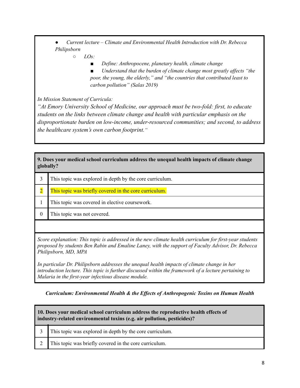*● Current lecture – Climate and Environmental Health Introduction with Dr. Rebecca Philipsborn*

*○ LOs:*

*■ Define: Anthropocene, planetary health, climate change*

*■ Understand that the burden of climate change most greatly af ects "the poor, the young, the elderly," and "the countries that contributed least to carbon pollution" (Salas 2019)*

*In Mission Statement of Curricula:*

*"At Emory University School of Medicine, our approach must be two-fold: first, to educate students on the links between climate change and health with particular emphasis on the disproportionate burden on low-income, under-resourced communities; and second, to address the healthcare system's own carbon footprint."*

**9. Does your medical school curriculum address the unequal health impacts of climate change globally?**

|          | This topic was explored in depth by the core curriculum. |
|----------|----------------------------------------------------------|
|          | This topic was briefly covered in the core curriculum.   |
|          | This topic was covered in elective coursework.           |
| $\Omega$ | This topic was not covered.                              |
|          |                                                          |

*Score explanation: This topic is addressed in the new climate health curriculum for first-year students proposed by students Ben Rabin and Emaline Laney, with the support of Faculty Advisor, Dr. Rebecca Philipsborn, MD, MPA*

*In particular Dr. Philipsborn addresses the unequal health impacts of climate change in her introduction lecture. This topic is further discussed within the framework of a lecture pertaining to Malaria in the first-year infectious disease module.*

*Curriculum: Environmental Health & the Ef ects of Anthropogenic Toxins on Human Health*

| 10. Does your medical school curriculum address the reproductive health effects of<br>industry-related environmental toxins (e.g. air pollution, pesticides)? |                                                          |
|---------------------------------------------------------------------------------------------------------------------------------------------------------------|----------------------------------------------------------|
|                                                                                                                                                               | This topic was explored in depth by the core curriculum. |
|                                                                                                                                                               | This topic was briefly covered in the core curriculum.   |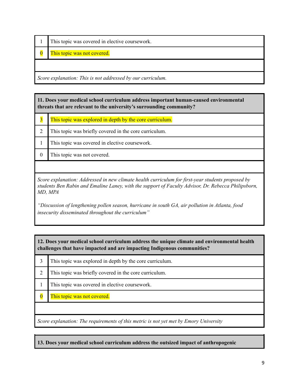|  | 1 This topic was covered in elective coursework. |
|--|--------------------------------------------------|
|--|--------------------------------------------------|

**0** This topic was not covered.

*Score explanation: This is not addressed by our curriculum.*

**11. Does your medical school curriculum address important human-caused environmental threats that are relevant to the university's surrounding community?**

| $\overline{3}$ | This topic was explored in depth by the core curriculum. |
|----------------|----------------------------------------------------------|
|                | This topic was briefly covered in the core curriculum.   |
|                | This topic was covered in elective coursework.           |
|                | This topic was not covered.                              |
|                |                                                          |

*Score explanation: Addressed in new climate health curriculum for first-year students proposed by students Ben Rabin and Emaline Laney, with the support of Faculty Advisor, Dr. Rebecca Philipsborn, MD, MPA*

*"Discussion of lengthening pollen season, hurricane in south GA, air pollution in Atlanta, food insecurity disseminated throughout the curriculum"*

**12. Does your medical school curriculum address the unique climate and environmental health challenges that have impacted and are impacting Indigenous communities?**

| This topic was explored in depth by the core curriculum. |
|----------------------------------------------------------|
| This topic was briefly covered in the core curriculum.   |
| This topic was covered in elective coursework.           |
| This topic was not covered.                              |
|                                                          |

*Score explanation: The requirements of this metric is not yet met by Emory University*

**13. Does your medical school curriculum address the outsized impact of anthropogenic**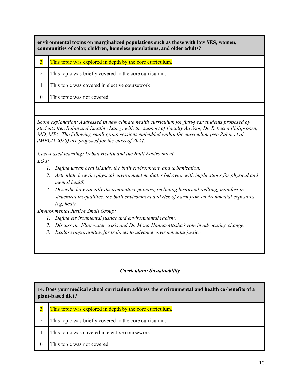**environmental toxins on marginalized populations such as those with low SES, women, communities of color, children, homeless populations, and older adults?**

- 3 This topic was explored in depth by the core curriculum.
- 2 This topic was briefly covered in the core curriculum.
- 1 This topic was covered in elective coursework.
- 0 This topic was not covered.

*Score explanation: Addressed in new climate health curriculum for first-year students proposed by students Ben Rabin and Emaline Laney, with the support of Faculty Advisor, Dr. Rebecca Philipsborn, MD, MPA. The following small group sessions embedded within the curriculum (see Rabin et al., JMECD 2020) are proposed for the class of 2024.*

*Case-based learning: Urban Health and the Built Environment LO's:*

- *1. Define urban heat islands, the built environment, and urbanization.*
- *2. Articulate how the physical environment mediates behavior with implications for physical and mental health.*
- *3. Describe how racially discriminatory policies, including historical redliing, manifest in structural inequalities, the built environment and risk of harm from environmental exposures (eg, heat).*

*Environmental Justice Small Group:*

- *1. Define environmental justice and environmental racism.*
- *2. Discuss the Flint water crisis and Dr. Mona Hanna-Attisha's role in advocating change.*
- *3. Explore opportunities for trainees to advance environmental justice.*

#### *Curriculum: Sustainability*

| 14. Does your medical school curriculum address the environmental and health co-benefits of a<br>plant-based diet? |                                                          |
|--------------------------------------------------------------------------------------------------------------------|----------------------------------------------------------|
|                                                                                                                    | This topic was explored in depth by the core curriculum. |
|                                                                                                                    | This topic was briefly covered in the core curriculum.   |
|                                                                                                                    | This topic was covered in elective coursework.           |
| $\theta$                                                                                                           | This topic was not covered.                              |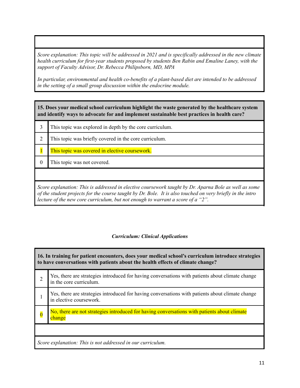*Score explanation: This topic will be addressed in 2021 and is specifically addressed in the new climate health curriculum for first-year students proposed by students Ben Rabin and Emaline Laney, with the support of Faculty Advisor, Dr. Rebecca Philipsborn, MD, MPA*

*In particular, environmental and health co-benefits of a plant-based diet are intended to be addressed in the setting of a small group discussion within the endocrine module.*

**15. Does your medical school curriculum highlight the waste generated by the healthcare system and identify ways to advocate for and implement sustainable best practices in health care?**

- 3 This topic was explored in depth by the core curriculum. 2 This topic was briefly covered in the core curriculum. 1 This topic was covered in elective coursework.
	- 0 This topic was not covered.

*Score explanation: This is addressed in elective coursework taught by Dr. Aparna Bole as well as some* of the student projects for the course taught by Dr. Bole. It is also touched on very briefly in the intro *lecture of the new core curriculum, but not enough to warrant a score of a "2".*

#### *Curriculum: Clinical Applications*

**16. In training for patient encounters, does your medical school's curriculum introduce strategies to have conversations with patients about the health effects of climate change?** 2 Yes, there are strategies introduced for having conversations with patients about climate change in the core curriculum. 1 Yes, there are strategies introduced for having conversations with patients about climate change in elective coursework.  $\overline{0}$ No, there are not strategies introduced for having conversations with patients about climate change *Score explanation: This is not addressed in our curriculum.*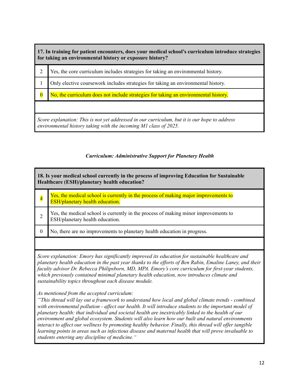**17. In training for patient encounters, does your medical school's curriculum introduce strategies for taking an environmental history or exposure history?**

|                                                                                                                                                                   | Yes, the core curriculum includes strategies for taking an environmental history.   |
|-------------------------------------------------------------------------------------------------------------------------------------------------------------------|-------------------------------------------------------------------------------------|
|                                                                                                                                                                   | Only elective coursework includes strategies for taking an environmental history.   |
| $\overline{0}$                                                                                                                                                    | No, the curriculum does not include strategies for taking an environmental history. |
|                                                                                                                                                                   |                                                                                     |
| Score explanation: This is not yet addressed in our curriculum, but it is our hope to address<br>environmental history taking with the incoming M1 class of 2025. |                                                                                     |

#### *Curriculum: Administrative Support for Planetary Health*

| 18. Is your medical school currently in the process of improving Education for Sustainable<br>Healthcare (ESH)/planetary health education? |                                                                                                                               |
|--------------------------------------------------------------------------------------------------------------------------------------------|-------------------------------------------------------------------------------------------------------------------------------|
|                                                                                                                                            | Yes, the medical school is currently in the process of making major improvements to<br><b>ESH/planetary health education.</b> |
|                                                                                                                                            | Yes, the medical school is currently in the process of making minor improvements to<br>ESH/planetary health education.        |
| $\theta$                                                                                                                                   | No, there are no improvements to planetary health education in progress.                                                      |
|                                                                                                                                            |                                                                                                                               |

*Score explanation: Emory has significantly improved its education for sustainable healthcare and* planetary health education in the past year thanks to the efforts of Ben Rabin, Emaline Laney, and their *faculty advisor Dr. Rebecca Philipsborn, MD, MPA. Emory's core curriculum for first-year students, which previously contained minimal planetary health education, now introduces climate and sustainability topics throughout each disease module.*

*As mentioned from the accepted curriculum:*

*"This thread will lay out a framework to understand how local and global climate trends - combined with environmental pollution - af ect our health. It will introduce students to the important model of planetary health: that individual and societal health are inextricably linked to the health of our environment and global ecosystem. Students will also learn how our built and natural environments interact to af ect our wellness by promoting healthy behavior. Finally, this thread will of er tangible learning points in areas such as infectious disease and maternal health that will prove invaluable to students entering any discipline of medicine."*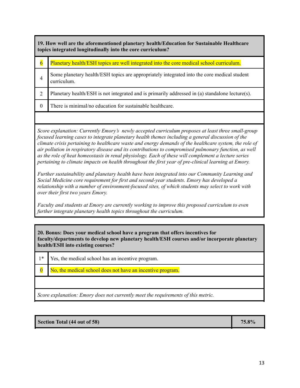**19. How well are the aforementioned planetary health/Education for Sustainable Healthcare topics integrated longitudinally into the core curriculum?**

| $\overline{6}$ | Planetary health/ESH topics are well integrated into the core medical school curriculum.                   |
|----------------|------------------------------------------------------------------------------------------------------------|
|                | Some planetary health/ESH topics are appropriately integrated into the core medical student<br>curriculum. |
|                | Planetary health/ESH is not integrated and is primarily addressed in (a) standalone lecture(s).            |
|                | There is minimal/no education for sustainable healthcare.                                                  |

*Score explanation: Currently Emory's newly accepted curriculum proposes at least three small-group focused learning cases to integrate planetary health themes including a general discussion of the climate crisis pertaining to healthcare waste and energy demands of the healthcare system, the role of air pollution in respiratory disease and its contributions to compromised pulmonary function, as well as the role of heat homeostasis in renal physiology. Each of these will complement a lecture series pertaining to climate impacts on health throughout the first year of pre-clinical learning at Emory.*

*Further sustainability and planetary health have been integrated into our Community Learning and Social Medicine core requirement for first and second-year students. Emory has developed a relationship with a number of environment-focused sites, of which students may select to work with over their first two years Emory.*

*Faculty and students at Emory are currently working to improve this proposed curriculum to even further integrate planetary health topics throughout the curriculum.*

**20. Bonus: Does your medical school have a program that offers incentives for faculty/departments to develop new planetary health/ESH courses and/or incorporate planetary health/ESH into existing courses?**

- 1\* Yes, the medical school has an incentive program.
- 0 No, the medical school does not have an incentive program.

*Score explanation: Emory does not currently meet the requirements of this metric.*

#### **Section Total (44 out of 58) 75.8%**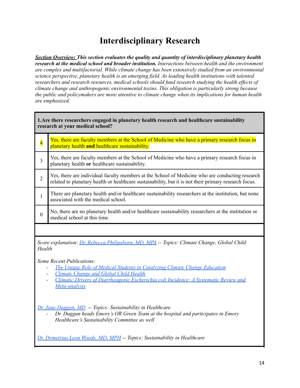## **Interdisciplinary Research**

*Section Overview: This section evaluates the quality and quantity of interdisciplinary planetary health research at the medical school and broader institution. Interactions between health and the environment are complex and multifactorial. While climate change has been extensively studied from an environmental science perspective, planetary health is an emerging field. As leading health institutions with talented researchers and research resources, medical schools should fund research studying the health ef ects of climate change and anthropogenic environmental toxins. This obligation is particularly strong because the public and policymakers are more attentive to climate change when its implications for human health are emphasized.*

| 1. Are there researchers engaged in planetary health research and healthcare sustainability<br>research at your medical school? |                                                                                                                                                                                                                                                             |
|---------------------------------------------------------------------------------------------------------------------------------|-------------------------------------------------------------------------------------------------------------------------------------------------------------------------------------------------------------------------------------------------------------|
| $\overline{\mathbf{4}}$                                                                                                         | Yes, there are faculty members at the School of Medicine who have a primary research focus in<br>planetary health and healthcare sustainability.                                                                                                            |
| $\overline{3}$                                                                                                                  | Yes, there are faculty members at the School of Medicine who have a primary research focus in<br>planetary health or healthcare sustainability.                                                                                                             |
| $\overline{2}$                                                                                                                  | Yes, there are individual faculty members at the School of Medicine who are conducting research<br>related to planetary health or healthcare sustainability, but it is not their primary research focus.                                                    |
| $\mathbf{1}$                                                                                                                    | There are planetary health and/or healthcare sustainability researchers at the institution, but none<br>associated with the medical school.                                                                                                                 |
| $\boldsymbol{0}$                                                                                                                | No, there are no planetary health and/or healthcare sustainability researchers at the institution or<br>medical school at this time.                                                                                                                        |
|                                                                                                                                 |                                                                                                                                                                                                                                                             |
| Health                                                                                                                          | Score explanation: Dr. Rebecca Philipsborn, MD, MPA -- Topics: Climate Change, Global Child                                                                                                                                                                 |
|                                                                                                                                 | Some Recent Publications:<br>The Unique Role of Medical Students in Catalyzing Climate Change Education<br>Climate Change and Global Child Health<br>Climatic Drivers of Diarrheagenic Escherichia coli Incidence: A Systematic Review and<br>Meta-analysis |
|                                                                                                                                 | Dr. Jane Duggan, MD -- Topics: Sustainability in Healthcare<br>Dr. Duggan heads Emory's OR Green Team at the hospital and participates in Emory<br>Healthcare's Sustainability Committee as well                                                            |
|                                                                                                                                 | Dr. Demetrius Leon Woods, MD, MPH -- Topics: Sustainability in Healthcare                                                                                                                                                                                   |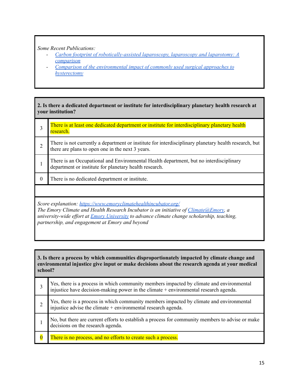*Some Recent Publications:*

- *- Carbon footprint of [robotically-assisted](https://www.researchgate.net/publication/272754671_Carbon_footprint_of_robotically-assisted_laparoscopy_laparoscopy_and_laparotomy_A_comparison) laparoscopy, laparoscopy and laparotomy: A [comparison](https://www.researchgate.net/publication/272754671_Carbon_footprint_of_robotically-assisted_laparoscopy_laparoscopy_and_laparotomy_A_comparison)*
- *- Comparison of the [environmental](https://www.researchgate.net/publication/274624325_Comparison_of_the_environmental_impact_of_commonly_used_surgical_approaches_to_hysterectomy) impact of commonly used surgical approaches to [hysterectomy](https://www.researchgate.net/publication/274624325_Comparison_of_the_environmental_impact_of_commonly_used_surgical_approaches_to_hysterectomy)*

**2. Is there a dedicated department or institute for interdisciplinary planetary health research at your institution?**

|                                                                                                                                                                                                                                                                                                                      | There is at least one dedicated department or institute for interdisciplinary planetary health<br>research.                                               |
|----------------------------------------------------------------------------------------------------------------------------------------------------------------------------------------------------------------------------------------------------------------------------------------------------------------------|-----------------------------------------------------------------------------------------------------------------------------------------------------------|
| $\overline{2}$                                                                                                                                                                                                                                                                                                       | There is not currently a department or institute for interdisciplinary planetary health research, but<br>there are plans to open one in the next 3 years. |
|                                                                                                                                                                                                                                                                                                                      | There is an Occupational and Environmental Health department, but no interdisciplinary<br>department or institute for planetary health research.          |
| $\theta$                                                                                                                                                                                                                                                                                                             | There is no dedicated department or institute.                                                                                                            |
|                                                                                                                                                                                                                                                                                                                      |                                                                                                                                                           |
| Score explanation: https://www.emoryclimatehealthincubator.org/<br>The Emory Climate and Health Research Incubator is an initiative of Climate $@Emory$ , a<br>university-wide effort at <i>Emory University</i> to advance climate change scholarship, teaching,<br>partnership, and engagement at Emory and beyond |                                                                                                                                                           |

**3. Is there a process by which communities disproportionately impacted by climate change and environmental injustice give input or make decisions about the research agenda at your medical school?**

| Yes, there is a process in which community members impacted by climate and environmental injustice have decision-making power in the climate + environmental research agenda. |
|-------------------------------------------------------------------------------------------------------------------------------------------------------------------------------|
| Yes, there is a process in which community members impacted by climate and environmental injustice advise the climate + environmental research agenda.                        |
| No, but there are current efforts to establish a process for community members to advise or make<br>decisions on the research agenda.                                         |
| There is no process, and no efforts to create such a process.                                                                                                                 |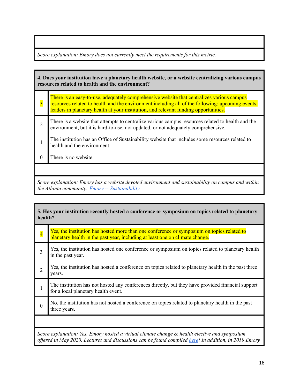*Score explanation: Emory does not currently meet the requirements for this metric.*

| 4. Does your institution have a planetary health website, or a website centralizing various campus<br>resources related to health and the environment? |                                                                                                                                                                                                                                                                                       |
|--------------------------------------------------------------------------------------------------------------------------------------------------------|---------------------------------------------------------------------------------------------------------------------------------------------------------------------------------------------------------------------------------------------------------------------------------------|
| $\overline{3}$                                                                                                                                         | There is an easy-to-use, adequately comprehensive website that centralizes various campus<br>resources related to health and the environment including all of the following: upcoming events,<br>leaders in planetary health at your institution, and relevant funding opportunities. |
| $\mathfrak{D}$                                                                                                                                         | There is a website that attempts to centralize various campus resources related to health and the<br>environment, but it is hard-to-use, not updated, or not adequately comprehensive.                                                                                                |
|                                                                                                                                                        | The institution has an Office of Sustainability website that includes some resources related to<br>health and the environment.                                                                                                                                                        |
| $\Omega$                                                                                                                                               | There is no website.                                                                                                                                                                                                                                                                  |
|                                                                                                                                                        |                                                                                                                                                                                                                                                                                       |
| Score explanation: Emory has a website devoted environment and sustainability on campus and within<br>the Atlanta community: $Emory$ -- Sustainability |                                                                                                                                                                                                                                                                                       |

| 5. Has your institution recently hosted a conference or symposium on topics related to planetary<br>health?                                                                                           |                                                                                                                                                                            |
|-------------------------------------------------------------------------------------------------------------------------------------------------------------------------------------------------------|----------------------------------------------------------------------------------------------------------------------------------------------------------------------------|
| $\overline{\mathbf{4}}$                                                                                                                                                                               | Yes, the institution has hosted more than one conference or symposium on topics related to<br>planetary health in the past year, including at least one on climate change. |
| 3                                                                                                                                                                                                     | Yes, the institution has hosted one conference or symposium on topics related to planetary health<br>in the past year.                                                     |
| $\overline{2}$                                                                                                                                                                                        | Yes, the institution has hosted a conference on topics related to planetary health in the past three<br>years.                                                             |
| 1                                                                                                                                                                                                     | The institution has not hosted any conferences directly, but they have provided financial support<br>for a local planetary health event.                                   |
| $\Omega$                                                                                                                                                                                              | No, the institution has not hosted a conference on topics related to planetary health in the past<br>three years.                                                          |
|                                                                                                                                                                                                       |                                                                                                                                                                            |
| Score explanation: Yes. Emory hosted a virtual climate change & health elective and symposium<br>offered in May 2020. Lectures and discussions can be found compiled here! In addition, in 2019 Emory |                                                                                                                                                                            |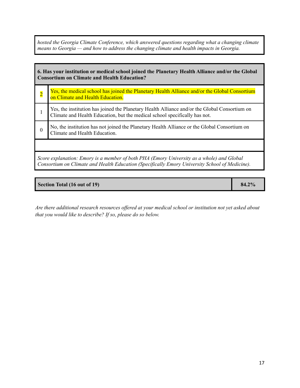*hosted the Georgia Climate Conference, which answered questions regarding what a changing climate means to Georgia — and how to address the changing climate and health impacts in Georgia.*

| 6. Has your institution or medical school joined the Planetary Health Alliance and/or the Global<br><b>Consortium on Climate and Health Education?</b>                                      |                                                                                                                                                                             |
|---------------------------------------------------------------------------------------------------------------------------------------------------------------------------------------------|-----------------------------------------------------------------------------------------------------------------------------------------------------------------------------|
|                                                                                                                                                                                             | Yes, the medical school has joined the Planetary Health Alliance and/or the Global Consortium<br>on Climate and Health Education.                                           |
|                                                                                                                                                                                             | Yes, the institution has joined the Planetary Health Alliance and/or the Global Consortium on<br>Climate and Health Education, but the medical school specifically has not. |
|                                                                                                                                                                                             | No, the institution has not joined the Planetary Health Alliance or the Global Consortium on<br>Climate and Health Education.                                               |
|                                                                                                                                                                                             |                                                                                                                                                                             |
| Score explanation: Emory is a member of both PHA (Emory University as a whole) and Global<br>Consortium on Climate and Health Education (Specifically Emory University School of Medicine). |                                                                                                                                                                             |

#### **Section Total (16 out of 19) 84.2%**

*Are there additional research resources of ered at your medical school or institution not yet asked about that you would like to describe? If so, please do so below.*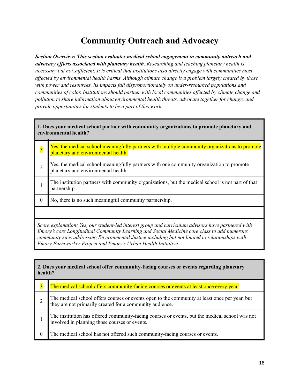## **Community Outreach and Advocacy**

*Section Overview: This section evaluates medical school engagement in community outreach and advocacy ef orts associated with planetary health. Researching and teaching planetary health is necessary but not suf icient. It is critical that institutions also directly engage with communities most af ected by environmental health harms. Although climate change is a problem largely created by those with power and resources, its impacts fall disproportionately on under-resourced populations and communities of color. Institutions should partner with local communities af ected by climate change and pollution to share information about environmental health threats, advocate together for change, and provide opportunities for students to be a part of this work.*

| 1. Does your medical school partner with community organizations to promote planetary and<br>environmental health?                                                                                                                                                                                                                                                     |                                                                                                                                       |
|------------------------------------------------------------------------------------------------------------------------------------------------------------------------------------------------------------------------------------------------------------------------------------------------------------------------------------------------------------------------|---------------------------------------------------------------------------------------------------------------------------------------|
| $\overline{3}$                                                                                                                                                                                                                                                                                                                                                         | Yes, the medical school meaningfully partners with multiple community organizations to promote<br>planetary and environmental health. |
| 2                                                                                                                                                                                                                                                                                                                                                                      | Yes, the medical school meaningfully partners with one community organization to promote<br>planetary and environmental health.       |
|                                                                                                                                                                                                                                                                                                                                                                        | The institution partners with community organizations, but the medical school is not part of that<br>partnership.                     |
| $\theta$                                                                                                                                                                                                                                                                                                                                                               | No, there is no such meaningful community partnership.                                                                                |
|                                                                                                                                                                                                                                                                                                                                                                        |                                                                                                                                       |
| Score explanation: Yes, our student-led interest group and curriculum advisors have partnered with<br>Emory's core Longitudinal Community Learning and Social Medicine core class to add numerous<br>community sites addressing Environmental Justice including but not limited to relationships with<br>Emory Farmworker Project and Emory's Urban Health Initiative. |                                                                                                                                       |

| 2. Does your medical school offer community-facing courses or events regarding planetary<br>health? |                                                                                                                                                           |
|-----------------------------------------------------------------------------------------------------|-----------------------------------------------------------------------------------------------------------------------------------------------------------|
| $\overline{\mathbf{3}}$                                                                             | The medical school offers community-facing courses or events at least once every year.                                                                    |
| 2                                                                                                   | The medical school offers courses or events open to the community at least once per year, but<br>they are not primarily created for a community audience. |
|                                                                                                     | The institution has offered community-facing courses or events, but the medical school was not<br>involved in planning those courses or events.           |
| $\boldsymbol{0}$                                                                                    | The medical school has not offered such community-facing courses or events.                                                                               |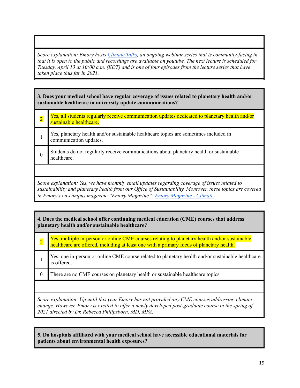*Score explanation: Emory hosts [Climate](https://climatetalks.emorydomains.org/webinars/) Talks, an ongoing webinar series that is community-facing in* that it is open to the public and recordings are available on youtube. The next lecture is scheduled for Tuesday, April 13 at 10:00 a.m. (EDT) and is one of four episodes from the lecture series that have *taken place thus far in 2021.*

**3. Does your medical school have regular coverage of issues related to planetary health and/or sustainable healthcare in university update communications?**

| Yes, all students regularly receive communication updates dedicated to planetary health and/or<br>sustainable healthcare. |
|---------------------------------------------------------------------------------------------------------------------------|
| Yes, planetary health and/or sustainable healthcare topics are sometimes included in communication updates.               |
| Students do not regularly receive communications about planetary health or sustainable<br>healthcare.                     |
|                                                                                                                           |

*Score explanation: Yes, we have monthly email updates regarding coverage of issues related to sustainability and planetary health from our Of ice of Sustainability. Moreover, these topics are covered in Emory's on-campus magazine,"Emory Magazine": Emory [Magazine](https://www.emory.edu/EMORY_MAGAZINE/search.html?output=xml_no_dtd&filter=0&proxystylesheet=homepage&site=emory_magazine&q=climate&search=Search) - Climate***.**

| 4. Does the medical school offer continuing medical education (CME) courses that address<br>planetary health and/or sustainable healthcare? |                                                                                                                                                                                           |
|---------------------------------------------------------------------------------------------------------------------------------------------|-------------------------------------------------------------------------------------------------------------------------------------------------------------------------------------------|
| $\overline{2}$                                                                                                                              | Yes, multiple in-person or online CME courses relating to planetary health and/or sustainable<br>healthcare are offered, including at least one with a primary focus of planetary health. |
|                                                                                                                                             | Yes, one in-person or online CME course related to planetary health and/or sustainable healthcare<br>is offered.                                                                          |
| $\theta$                                                                                                                                    | There are no CME courses on planetary health or sustainable healthcare topics.                                                                                                            |
|                                                                                                                                             |                                                                                                                                                                                           |
| Score explanation: Up until this year Emory has not provided any CME courses addressing climate                                             |                                                                                                                                                                                           |

*change. However, Emory is excited to of er a newly developed post-graduate course in the spring of 2021 directed by Dr. Rebecca Philipsborn, MD, MPA.*

**5. Do hospitals affiliated with your medical school have accessible educational materials for patients about environmental health exposures?**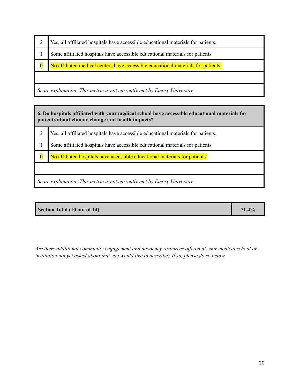|                                                                         | Yes, all affiliated hospitals have accessible educational materials for patients. |
|-------------------------------------------------------------------------|-----------------------------------------------------------------------------------|
|                                                                         | Some affiliated hospitals have accessible educational materials for patients.     |
| $\overline{\mathbf{0}}$                                                 | No affiliated medical centers have accessible educational materials for patients. |
|                                                                         |                                                                                   |
| Score explanation: This metric is not currently met by Emory University |                                                                                   |

**6. Do hospitals affiliated with your medical school have accessible educational materials for patients about climate change and health impacts?**

- 2 Yes, all affiliated hospitals have accessible educational materials for patients.
- 1 Some affiliated hospitals have accessible educational materials for patients.
- 0 No affiliated hospitals have accessible educational materials for patients.

*Score explanation: This metric is not currently met by Emory University*

*Are there additional community engagement and advocacy resources of ered at your medical school or institution not yet asked about that you would like to describe? If so, please do so below.*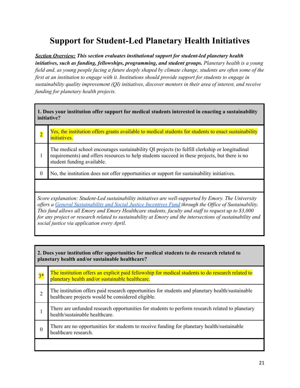# **Support for Student-Led Planetary Health Initiatives**

*Section Overview: This section evaluates institutional support for student-led planetary health initiatives, such as funding, fellowships, programming, and student groups. Planetary health is a young* field and, as young people facing a future deeply shaped by climate change, students are often some of the *first at an institution to engage with it. Institutions should provide support for students to engage in sustainability quality improvement (QI) initiatives, discover mentors in their area of interest, and receive funding for planetary health projects.*

| 1. Does your institution offer support for medical students interested in enacting a sustainability<br>initiative? |                                                                                                                                                                                                                                                                                                                                                                                                                                                                                        |
|--------------------------------------------------------------------------------------------------------------------|----------------------------------------------------------------------------------------------------------------------------------------------------------------------------------------------------------------------------------------------------------------------------------------------------------------------------------------------------------------------------------------------------------------------------------------------------------------------------------------|
| $\overline{2}$                                                                                                     | Yes, the institution offers grants available to medical students for students to enact sustainability<br>initiatives.                                                                                                                                                                                                                                                                                                                                                                  |
| 1                                                                                                                  | The medical school encourages sustainability QI projects (to fulfill clerkship or longitudinal<br>requirements) and offers resources to help students succeed in these projects, but there is no<br>student funding available.                                                                                                                                                                                                                                                         |
| $\theta$                                                                                                           | No, the institution does not offer opportunities or support for sustainability initiatives.                                                                                                                                                                                                                                                                                                                                                                                            |
|                                                                                                                    |                                                                                                                                                                                                                                                                                                                                                                                                                                                                                        |
|                                                                                                                    | Score explanation: Student-Led sustainability initiatives are well-supported by Emory. The University<br>offers a General Sustainability and Social Justice Incentives Fund through the Office of Sustainability.<br>This fund allows all Emory and Emory Healthcare students, faculty and staff to request up to \$3,000<br>for any project or research related to sustainability at Emory and the intersections of sustainability and<br>social justice via application every April. |

| 2. Does your institution offer opportunities for medical students to do research related to<br>planetary health and/or sustainable healthcare? |                                                                                                                                                       |
|------------------------------------------------------------------------------------------------------------------------------------------------|-------------------------------------------------------------------------------------------------------------------------------------------------------|
| $3*$                                                                                                                                           | The institution offers an explicit paid fellowship for medical students to do research related to<br>planetary health and/or sustainable healthcare.  |
| $\overline{2}$                                                                                                                                 | The institution offers paid research opportunities for students and planetary health/sustainable<br>healthcare projects would be considered eligible. |
|                                                                                                                                                | There are unfunded research opportunities for students to perform research related to planetary<br>health/sustainable healthcare.                     |
| 0                                                                                                                                              | There are no opportunities for students to receive funding for planetary health/sustainable<br>healthcare research.                                   |
|                                                                                                                                                |                                                                                                                                                       |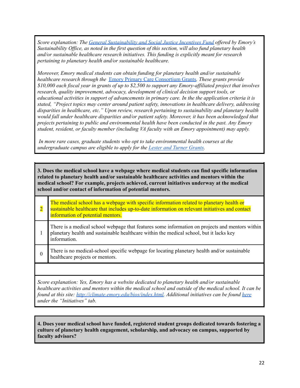*Score explanation: The General [Sustainability](https://sustainability.emory.edu/get-involved/funding-opportunities/) and Social Justice Incentives Fund of ered by Emory's Sustainability Of ice, as noted in the first question of this section, will also fund planetary health and/or sustainable healthcare research initiatives. This funding is explicitly meant for research pertaining to planetary health and/or sustainable healthcare.*

*Moreover, Emory medical students can obtain funding for planetary health and/or sustainable healthcare research through the* Emory Primary Care [Consortium](http://whsc.emory.edu/patientcare/epcc/grant-sponsorship-opportunities/grants%20.html) Grants*. These grants provide*  $$10,000$  each fiscal year in grants of up to  $$2,500$  to support any Emory-affiliated project that involves *research, quality improvement, advocacy, development of clinical decision support tools, or educational activities in support of advancements in primary care. In the the application criteria it is stated, "Project topics may center around patient safety, innovations in healthcare delivery, addressing disparities in healthcare, etc." Upon review, research pertaining to sustainability and planetary health would fall under healthcare disparities and/or patient safety. Moreover, it has been acknowledged that projects pertaining to public and environmental health have been conducted in the past. Any Emory student, resident, or faculty member (including VA faculty with an Emory appointment) may apply.*

*In more rare cases, graduate students who opt to take environmental health courses at the undergraduate campus are eligible to apply for the Lester and Turner [Grants](http://envs.emory.edu/home/undergraduate/scholarships-awards-grants/lester-turner-grants.html).*

**3. Does the medical school have a webpage where medical students can find specific information related to planetary health and/or sustainable healthcare activities and mentors within the medical school? For example, projects achieved, current initiatives underway at the medical school and/or contact of information of potential mentors.**

| The medical school has a webpage with specific information related to planetary health or<br>sustainable healthcare that includes up-to-date information on relevant initiatives and contact<br>information of potential mentors. |
|-----------------------------------------------------------------------------------------------------------------------------------------------------------------------------------------------------------------------------------|
| There is a medical school webpage that features some information on projects and mentors within<br>planetary health and sustainable healthcare within the medical school, but it lacks key<br>information.                        |
| There is no medical-school specific webpage for locating planetary health and/or sustainable<br>healthcare projects or mentors.                                                                                                   |

*Score explanation: Yes, Emory has a website dedicated to planetary health and/or sustainable healthcare activities and mentors within the medical school and outside of the medical school. It can be found at this site: [http://climate.emory.edu/bios/index.html.](http://climate.emory.edu/bios/index.html) Additional initiatives can be found [here](https://sustainability.emory.edu/initiatives/air-climate/) under the "Initiatives" tab.*

**4. Does your medical school have funded, registered student groups dedicated towards fostering a culture of planetary health engagement, scholarship, and advocacy on campus, supported by faculty advisors?**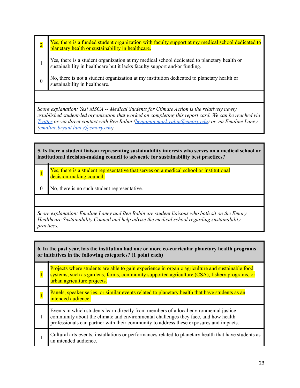| $\overline{2}$                                                                              | Yes, there is a funded student organization with faculty support at my medical school dedicated to<br>planetary health or sustainability in healthcare.                 |
|---------------------------------------------------------------------------------------------|-------------------------------------------------------------------------------------------------------------------------------------------------------------------------|
|                                                                                             | Yes, there is a student organization at my medical school dedicated to planetary health or<br>sustainability in healthcare but it lacks faculty support and/or funding. |
| $\theta$                                                                                    | No, there is not a student organization at my institution dedicated to planetary health or<br>sustainability in healthcare.                                             |
|                                                                                             |                                                                                                                                                                         |
| Score explanation: Yes! MSCA -- Medical Students for Climate Action is the relatively newly |                                                                                                                                                                         |

*Score explanation: Yes! MSCA -- Medical Students for Climate Action is the relatively newly established student-led organization that worked on completing this report card. We can be reached via [Twitter](https://twitter.com/emorymsca?lang=en) or via direct contact with Ben Rabin [\(benjamin.mark.rabin@emory.edu\)](mailto:benjamin.mark.rabin@emory.edu) or via Emaline Laney [\(emaline.bryant.laney@emory.edu\)](mailto:emaline.bryant.laney@emory.edu).*

**5. Is there a student liaison representing sustainability interests who serves on a medical school or institutional decision-making council to advocate for sustainability best practices?**

- 1 Yes, there is a student representative that serves on a medical school or institutional decision-making council.
- 0 No, there is no such student representative.

*Score explanation: Emaline Laney and Ben Rabin are student liaisons who both sit on the Emory Healthcare Sustainability Council and help advise the medical school regarding sustainability practices.*

| 6. In the past year, has the institution had one or more co-curricular planetary health programs<br>or initiatives in the following categories? (1 point each) |                                                                                                                                                                                                                                                                       |
|----------------------------------------------------------------------------------------------------------------------------------------------------------------|-----------------------------------------------------------------------------------------------------------------------------------------------------------------------------------------------------------------------------------------------------------------------|
|                                                                                                                                                                | Projects where students are able to gain experience in organic agriculture and sustainable food<br>systems, such as gardens, farms, community supported agriculture (CSA), fishery programs, or<br>urban agriculture projects.                                        |
|                                                                                                                                                                | Panels, speaker series, or similar events related to planetary health that have students as an<br>intended audience.                                                                                                                                                  |
|                                                                                                                                                                | Events in which students learn directly from members of a local environmental justice<br>community about the climate and environmental challenges they face, and how health<br>professionals can partner with their community to address these exposures and impacts. |
|                                                                                                                                                                | Cultural arts events, installations or performances related to planetary health that have students as<br>an intended audience.                                                                                                                                        |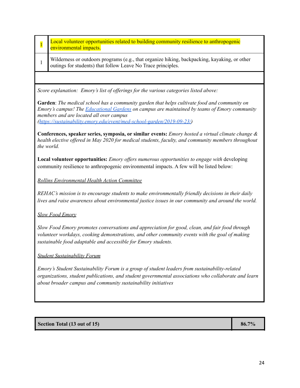| $\overline{\mathbf{1}}$                                                                                                                                                                                                                                                 | Local volunteer opportunities related to building community resilience to anthropogenic<br>environmental impacts.                                                                                                                                                                                                        |  |  |
|-------------------------------------------------------------------------------------------------------------------------------------------------------------------------------------------------------------------------------------------------------------------------|--------------------------------------------------------------------------------------------------------------------------------------------------------------------------------------------------------------------------------------------------------------------------------------------------------------------------|--|--|
| $\mathbf{1}$                                                                                                                                                                                                                                                            | Wilderness or outdoors programs (e.g., that organize hiking, backpacking, kayaking, or other<br>outings for students) that follow Leave No Trace principles.                                                                                                                                                             |  |  |
|                                                                                                                                                                                                                                                                         |                                                                                                                                                                                                                                                                                                                          |  |  |
|                                                                                                                                                                                                                                                                         | Score explanation: Emory's list of offerings for the various categories listed above:                                                                                                                                                                                                                                    |  |  |
|                                                                                                                                                                                                                                                                         | Garden: The medical school has a community garden that helps cultivate food and community on<br>Emory's campus! The <b>Educational Gardens</b> on campus are maintained by teams of Emory community<br>members and are located all over campus<br>(https://sustainability.emory.edu/event/med-school-garden/2019-09-23/) |  |  |
| Conferences, speaker series, symposia, or similar events: <i>Emory hosted a virtual climate change &amp;</i><br>health elective offered in May 2020 for medical students, faculty, and community members throughout<br>the world.                                       |                                                                                                                                                                                                                                                                                                                          |  |  |
|                                                                                                                                                                                                                                                                         | <b>Local volunteer opportunities:</b> <i>Emory offers numerous opportunities to engage with</i> developing<br>community resilience to anthropogenic environmental impacts. A few will be listed below:                                                                                                                   |  |  |
|                                                                                                                                                                                                                                                                         | <b>Rollins Environmental Health Action Committee</b>                                                                                                                                                                                                                                                                     |  |  |
| REHAC's mission is to encourage students to make environmentally friendly decisions in their daily<br>lives and raise awareness about environmental justice issues in our community and around the world.                                                               |                                                                                                                                                                                                                                                                                                                          |  |  |
| <b>Slow Food Emory</b>                                                                                                                                                                                                                                                  |                                                                                                                                                                                                                                                                                                                          |  |  |
| Slow Food Emory promotes conversations and appreciation for good, clean, and fair food through<br>volunteer workdays, cooking demonstrations, and other community events with the goal of making<br>sustainable food adaptable and accessible for Emory students.       |                                                                                                                                                                                                                                                                                                                          |  |  |
| <b>Student Sustainability Forum</b>                                                                                                                                                                                                                                     |                                                                                                                                                                                                                                                                                                                          |  |  |
| Emory's Student Sustainability Forum is a group of student leaders from sustainability-related<br>organizations, student publications, and student governmental associations who collaborate and learn<br>about broader campus and community sustainability initiatives |                                                                                                                                                                                                                                                                                                                          |  |  |
|                                                                                                                                                                                                                                                                         |                                                                                                                                                                                                                                                                                                                          |  |  |
|                                                                                                                                                                                                                                                                         |                                                                                                                                                                                                                                                                                                                          |  |  |
|                                                                                                                                                                                                                                                                         | Section Total (13 out of 15)<br>86.7%                                                                                                                                                                                                                                                                                    |  |  |
|                                                                                                                                                                                                                                                                         |                                                                                                                                                                                                                                                                                                                          |  |  |

 $\overline{\phantom{a}}$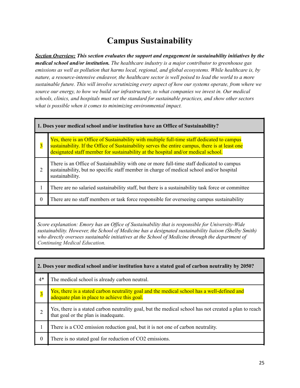# **Campus Sustainability**

*Section Overview: This section evaluates the support and engagement in sustainability initiatives by the medical school and/or institution. The healthcare industry is a major contributor to greenhouse gas emissions as well as pollution that harms local, regional, and global ecosystems. While healthcare is, by nature, a resource-intensive endeavor, the healthcare sector is well poised to lead the world to a more sustainable future. This will involve scrutinizing every aspect of how our systems operate, from where we source our energy, to how we build our infrastructure, to what companies we invest in. Our medical schools, clinics, and hospitals must set the standard for sustainable practices, and show other sectors what is possible when it comes to minimizing environmental impact.*

| $\overline{3}$                                                                                                                                                                                             | Yes, there is an Office of Sustainability with multiple full-time staff dedicated to campus<br>sustainability. If the Office of Sustainability serves the entire campus, there is at least one<br>designated staff member for sustainability at the hospital and/or medical school. |
|------------------------------------------------------------------------------------------------------------------------------------------------------------------------------------------------------------|-------------------------------------------------------------------------------------------------------------------------------------------------------------------------------------------------------------------------------------------------------------------------------------|
| 2                                                                                                                                                                                                          | There is an Office of Sustainability with one or more full-time staff dedicated to campus<br>sustainability, but no specific staff member in charge of medical school and/or hospital<br>sustainability.                                                                            |
| $\mathbf{I}$                                                                                                                                                                                               | There are no salaried sustainability staff, but there is a sustainability task force or committee                                                                                                                                                                                   |
| $\Omega$                                                                                                                                                                                                   | There are no staff members or task force responsible for overseeing campus sustainability                                                                                                                                                                                           |
|                                                                                                                                                                                                            |                                                                                                                                                                                                                                                                                     |
| Score explanation: Emory has an Office of Sustainability that is responsible for University-Wide<br>sustainability. However, the School of Medicine has a designated sustainability liaison (Shelby Smith) |                                                                                                                                                                                                                                                                                     |

*who directly oversees sustainable initiatives at the School of Medicine through the department of Continuing Medical Education.*

| 2. Does your medical school and/or institution have a stated goal of carbon neutrality by 2050? |                                                                                                                                               |
|-------------------------------------------------------------------------------------------------|-----------------------------------------------------------------------------------------------------------------------------------------------|
| $4*$                                                                                            | The medical school is already carbon neutral.                                                                                                 |
| $\overline{\mathbf{3}}$                                                                         | Yes, there is a stated carbon neutrality goal and the medical school has a well-defined and<br>adequate plan in place to achieve this goal.   |
|                                                                                                 | Yes, there is a stated carbon neutrality goal, but the medical school has not created a plan to reach<br>that goal or the plan is inadequate. |
|                                                                                                 | There is a CO2 emission reduction goal, but it is not one of carbon neutrality.                                                               |
| $\theta$                                                                                        | There is no stated goal for reduction of CO2 emissions.                                                                                       |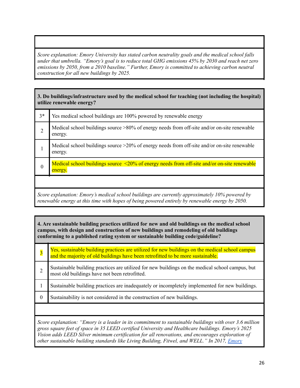*Score explanation: Emory University has stated carbon neutrality goals and the medical school falls under that umbrella. "Emory's goal is to reduce total GHG emissions 45% by 2030 and reach net zero emissions by 2050, from a 2010 baseline." Further, Emory is committed to achieving carbon neutral construction for all new buildings by 2025.*

#### **3. Do buildings/infrastructure used by the medical school for teaching (not including the hospital) utilize renewable energy?**

| $3*$ | Yes medical school buildings are 100% powered by renewable energy                                             |
|------|---------------------------------------------------------------------------------------------------------------|
|      | Medical school buildings source >80% of energy needs from off-site and/or on-site renewable<br>energy.        |
|      | Medical school buildings source $>20\%$ of energy needs from off-site and/or on-site renewable<br>energy.     |
|      | Medical school buildings source $\leq 20\%$ of energy needs from off-site and/or on-site renewable<br>energy. |

*Score explanation: Emory's medical school buildings are currently approximately 10% powered by renewable energy at this time with hopes of being powered entirely by renewable energy by 2050.*

#### **4. Are sustainable building practices utilized for new and old buildings on the medical school campus, with design and construction of new buildings and remodeling of old buildings conforming to a published rating system or sustainable building code/guideline?**

| $\overline{\mathbf{3}}$                                                                                | Yes, sustainable building practices are utilized for new buildings on the medical school campus<br>and the majority of old buildings have been retrofitted to be more sustainable. |
|--------------------------------------------------------------------------------------------------------|------------------------------------------------------------------------------------------------------------------------------------------------------------------------------------|
| $\overline{2}$                                                                                         | Sustainable building practices are utilized for new buildings on the medical school campus, but<br>most old buildings have not been retrofitted.                                   |
|                                                                                                        | Sustainable building practices are inadequately or incompletely implemented for new buildings.                                                                                     |
| $\theta$                                                                                               | Sustainability is not considered in the construction of new buildings.                                                                                                             |
|                                                                                                        |                                                                                                                                                                                    |
| Score explanation: "Emory is a leader in its commitment to sustainable buildings with over 3.6 million |                                                                                                                                                                                    |

*gross square feet of space in 35 LEED certified University and Healthcare buildings. Emory's 2025 Vision adds LEED Silver minimum certification for all renovations, and encourages exploration of other sustainable building standards like Living Building, Fitwel, and WELL." In 2017, [Emory](http://news.emory.edu/stories/2017/07/euh_tower_staff_open_house/index.html)*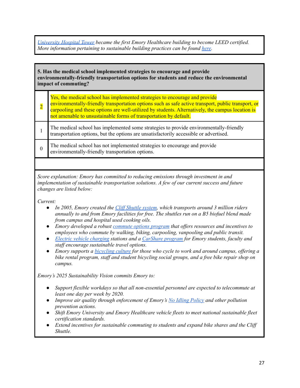*[University](http://news.emory.edu/stories/2017/07/euh_tower_staff_open_house/index.html) Hospital Tower became the first Emory Healthcare building to become LEED certified. More information pertaining to sustainable building practices can be found [here](https://sustainability.emory.edu/initiatives/buildings/).*

**5. Has the medical school implemented strategies to encourage and provide environmentally-friendly transportation options for students and reduce the environmental impact of commuting?**

| Yes, the medical school has implemented strategies to encourage and provide<br>environmentally-friendly transportation options such as safe active transport, public transport, or carpooling and these options are well-utilized by students. Alternatively, the campus location is<br>not amenable to unsustainable forms of transportation by default. |
|-----------------------------------------------------------------------------------------------------------------------------------------------------------------------------------------------------------------------------------------------------------------------------------------------------------------------------------------------------------|
| The medical school has implemented some strategies to provide environmentally-friendly transportation options, but the options are unsatisfactorily accessible or advertised.                                                                                                                                                                             |
|                                                                                                                                                                                                                                                                                                                                                           |

0 The medical school has not implemented strategies to encourage and provide environmentally-friendly transportation options.

*Score explanation: Emory has committed to reducing emissions through investment in and implementation of sustainable transportation solutions. A few of our current success and future changes are listed below:*

*Current:*

- *● In 2005, Emory created the Clif [Shuttle](http://transportation.emory.edu/shuttles/) system, which transports around 3 million riders annually to and from Emory facilities for free. The shuttles run on a B5 biofuel blend made from campus and hospital used cooking oils.*
- *● Emory developed a robust [commute](https://sustainability.emory.edu/programs/sustainable-commuting/) options program that of ers resources and incentives to employees who commute by walking, biking, carpooling, vanpooling and public transit.*
- *● Electric vehicle [charging](http://transportation.emory.edu/parking/EV_charging.html) stations and a [CarShare](https://www.enterprisecarshare.com/us/en/programs/university/emory.html?mcid=print:711) program for Emory students, faculty and staf encourage sustainable travel options.*
- *● Emory supports a [bicycling](https://sustainability.emory.edu/programs/biking-at-emory/) culture for those who cycle to work and around campus, of ering a bike rental program, staf and student bicycling social groups, and a free bike repair shop on campus.*

*Emory's 2025 Sustainability Vision commits Emory to:*

- *● Support flexible workdays so that all non-essential personnel are expected to telecommute at least one day per week by 2020.*
- *● Improve air quality through enforcement of Emory's No Idling [Policy](https://www.finance.emory.edu/home/Procure%20and%20Pay/Emory%20University%20Idling%20Reduction%20Policy.pdf) and other pollution prevention actions.*
- *● Shift Emory University and Emory Healthcare vehicle fleets to meet national sustainable fleet certification standards.*
- *● Extend incentives for sustainable commuting to students and expand bike shares and the Clif Shuttle.*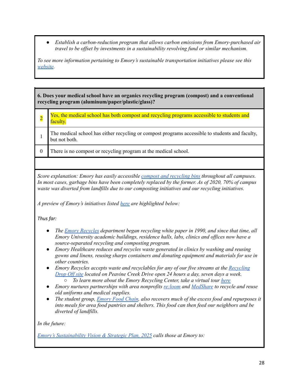*● Establish a carbon-reduction program that allows carbon emissions from Emory-purchased air travel to be of set by investments in a sustainability revolving fund or similar mechanism.*

*To see more information pertaining to Emory's sustainable transportation initiatives please see this [website](https://sustainability.emory.edu/initiatives/transportation/).*

**6. Does your medical school have an organics recycling program (compost) and a conventional recycling program (aluminum/paper/plastic/glass)?**

- 2 Yes, the medical school has both compost and recycling programs accessible to students and faculty.
- 1 The medical school has either recycling or compost programs accessible to students and faculty, but not both.
- 0 There is no compost or recycling program at the medical school.

*Score explanation: Emory has easily accessible compost and [recycling](https://www.emory.edu/emoryrecycles/images/RECYCLE-COMPOST-BROCHURE-FOR-DL.pdf) bins throughout all campuses. In most cases, garbage bins have been completely replaced by the former. As of 2020, 70% of campus waste was diverted from landfills due to our composting initiatives and our recycling initiatives.*

*A preview of Emory's initiatives listed [here](https://sustainability.emory.edu/initiatives/waste/) are highlighted below:*

*Thus far:*

- *● The Emory [Recycles](http://www.emory.edu/emoryrecycles/index.html) department began recycling white paper in 1990, and since that time, all Emory University academic buildings, residence halls, labs, clinics and of ices now have a source-separated recycling and composting program.*
- *● Emory Healthcare reduces and recycles waste generated in clinics by washing and reusing gowns and linens, reusing sharps containers and donating equipment and materials for use in other countries.*
- *● Emory Recycles accepts waste and recyclables for any of our five streams at the [Recycling](http://www.campserv.emory.edu/fm/brs/recycling.html) [Drop](http://www.campserv.emory.edu/fm/brs/recycling.html) Of site located on Peavine Creek Drive open 24 hours a day, seven days a week. ○ To learn more about the Emory Recycling Center, take a virtual tour [here](https://poly.google.com/view/8zHcMwttM7r)*
- *● Emory nurtures partnerships with area nonprofits [re:loom](http://www.reloom.org/) and [MedShare](http://www.medshare.org/) to recycle and reuse old uniforms and medical supplies.*
- *● The student group, [Emory](https://www.facebook.com/emoryfoodchain) Food Chain, also recovers much of the excess food and repurposes it into meals for area food pantries and shelters. This food can then feed our neighbors and be diverted of landfills.*

*In the future:*

*Emory's [Sustainability](http://sustainability.emory.edu/resources/emory-sustainability-vision-and-strategic-plan-for-2015-2025/) Vision & Strategic Plan, 2025 calls those at Emory to:*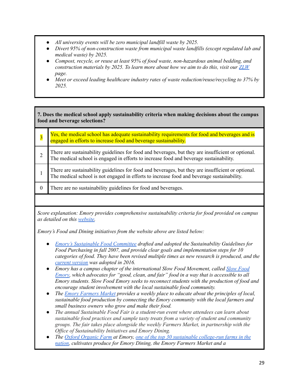- *● All university events will be zero municipal landfill waste by 2025.*
- *● Divert 95% of non-construction waste from municipal waste landfills (except regulated lab and medical waste) by 2025.*
- *● Compost, recycle, or reuse at least 95% of food waste, non-hazardous animal bedding, and construction materials by 2025. To learn more about how we aim to do this, visit our [ZLW](https://sustainability.emory.edu/programs/zero-landfill-waste/) page.*
- *● Meet or exceed leading healthcare industry rates of waste reduction/reuse/recycling to 37% by 2025.*

#### **7. Does the medical school apply sustainability criteria when making decisions about the campus food and beverage selections?**

| Yes, the medical school has adequate sustainability requirements for food and beverages and is engaged in efforts to increase food and beverage sustainability.                                  |  |
|--------------------------------------------------------------------------------------------------------------------------------------------------------------------------------------------------|--|
| There are sustainability guidelines for food and beverages, but they are insufficient or optional.<br>The medical school is engaged in efforts to increase food and beverage sustainability.     |  |
| There are sustainability guidelines for food and beverages, but they are insufficient or optional.<br>The medical school is not engaged in efforts to increase food and beverage sustainability. |  |
| There are no sustainability guidelines for food and beverages.                                                                                                                                   |  |
|                                                                                                                                                                                                  |  |

*Score explanation: Emory provides comprehensive sustainability criteria for food provided on campus as detailed on this [website.](https://sustainability.emory.edu/initiatives/food-dining/)*

*Emory's Food and Dining initiatives from the website above are listed below:*

- *● Emory's [Sustainable](https://www.youtube.com/watch?v=g03AfrrO5hE&t=1s) Food Committee drafted and adopted the Sustainability Guidelines for Food Purchasing in fall 2007, and provide clear goals and implementation steps for 10 categories of food. They have been revised multiple times as new research is produced, and th[e](http://sustainability.emory.edu/resources/sustainability-guidelines-for-food-service-purchasing/) current [version](http://sustainability.emory.edu/resources/sustainability-guidelines-for-food-service-purchasing/) was adopted in 2016.*
- *● Emory has a campus chapter of the international Slow Food Movement, called Slow [Food](https://emoryslowfood.wordpress.com/) [Emory,](https://emoryslowfood.wordpress.com/) which advocates for "good, clean, and fair" food in a way that is accessible to all Emory students. Slow Food Emory seeks to reconnect students with the production of food and encourage student involvement with the local sustainable food community.*
- *● The Emory [Farmers](http://sustainability.emory.edu/programs/emory-farmers-market/) Market provides a weekly place to educate about the principles of local, sustainable food production by connecting the Emory community with the local farmers and small business owners who grow and make their food.*
- *● The annual Sustainable Food Fair is a student-run event where attendees can learn about sustainable food practices and sample tasty treats from a variety of student and community groups. The fair takes place alongside the weekly Farmers Market, in partnership with the Of ice of Sustainability Initiatives and Emory Dining.*
- *● The Oxford [Organic](https://inside.oxford.emory.edu/academics/organic_farm.html) Farm at Emory, one of the top 30 sustainable [college-run](http://news.emory.edu/stories/2015/10/er_best_college_farm/campus.html) farms in the [nation,](http://news.emory.edu/stories/2015/10/er_best_college_farm/campus.html) cultivates produce for Emory Dining, the Emory Farmers Market and a*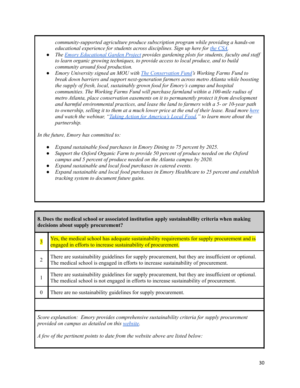*community-supported agriculture produce subscription program while providing a hands-on educational experience for students across disciplines. Sign up here for the [CSA.](https://app.oxford.emory.edu/WebApps/Forms/index.cfm?fuseAction=csaseason-Form)*

- *● The Emory [Educational](http://sustainability.emory.edu/programs/gardens-farming/) Garden Project provides gardening plots for students, faculty and staf to learn organic growing techniques, to provide access to local produce, and to build community around food production.*
- *● Emory University signed an MOU with The [Conservation](https://www.conservationfund.org/) Fund's Working Farms Fund to break down barriers and support next-generation farmers across metro Atlanta while boosting the supply of fresh, local, sustainably grown food for Emory's campus and hospital communities. The Working Farms Fund will purchase farmland within a 100-mile radius of metro Atlanta, place conservation easements on it to permanently protect it from development and harmful environmental practices, and lease the land to farmers with a 5- or 10-year path* to ownership, selling it to them at a much lower price at the end of their lease. Read more [here](https://sustainability.emory.edu/from-georgia-farms-to-emory-tables/) *and watch the webinar, "Taking Action for [America's](https://www.conservationfund.org/projects/working-farms-fund-growing-our-food-future/webinar-taking-action-for-america-s-local-food) Local Food," to learn more about the partnership.*

*In the future, Emory has committed to:*

- *● Expand sustainable food purchases in Emory Dining to 75 percent by 2025.*
- *● Support the Oxford Organic Farm to provide 50 percent of produce needed on the Oxford campus and 5 percent of produce needed on the Atlanta campus by 2020.*
- *● Expand sustainable and local food purchases in catered events.*
- *● Expand sustainable and local food purchases in Emory Healthcare to 25 percent and establish tracking system to document future gains.*

#### **8. Does the medical school or associated institution apply sustainability criteria when making decisions about supply procurement?**

| $\overline{\mathbf{3}}$                                                                                                                           | Yes, the medical school has adequate sustainability requirements for supply procurement and is<br>engaged in efforts to increase sustainability of procurement.                               |  |  |
|---------------------------------------------------------------------------------------------------------------------------------------------------|-----------------------------------------------------------------------------------------------------------------------------------------------------------------------------------------------|--|--|
| 2                                                                                                                                                 | There are sustainability guidelines for supply procurement, but they are insufficient or optional.<br>The medical school is engaged in efforts to increase sustainability of procurement.     |  |  |
|                                                                                                                                                   | There are sustainability guidelines for supply procurement, but they are insufficient or optional.<br>The medical school is not engaged in efforts to increase sustainability of procurement. |  |  |
| $\Omega$                                                                                                                                          | There are no sustainability guidelines for supply procurement.                                                                                                                                |  |  |
|                                                                                                                                                   |                                                                                                                                                                                               |  |  |
| Score explanation: Emory provides comprehensive sustainability criteria for supply procurement<br>provided on campus as detailed on this website. |                                                                                                                                                                                               |  |  |
| A few of the pertinent points to date from the website above are listed below:                                                                    |                                                                                                                                                                                               |  |  |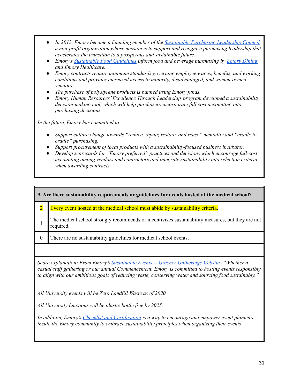- *● In 2013, Emory became a founding member of the [Sustainable](https://www.sustainablepurchasing.org/) Purchasing Leadership Council, a non-profit organization whose mission is to support and recognize purchasing leadership that accelerates the transition to a prosperous and sustainable future.*
- *● Emory's [Sustainable](https://sustainability.emory.edu/resources/sustainability-guidelines-for-food-service-purchasing/) Food Guidelines inform food and beverage purchasing by Emory [Dining](https://sustainability.emory.edu/programs/dining-operations/) and Emory Healthcare.*
- *Emory contracts require minimum standards governing employee wages, benefits, and working conditions and provides increased access to minority, disadvantaged, and women-owned vendors.*
- *The purchase of polystyrene products is banned using Emory funds.*
- *Emory Human Resources'Excellence Through Leadership program developed a sustainability decision-making tool, which will help purchasers incorporate full cost accounting into purchasing decisions.*

*In the future, Emory has committed to:*

- *● Support culture change towards "reduce, repair, restore, and reuse" mentality and "cradle to cradle" purchasing.*
- *● Support procurement of local products with a sustainability-focused business incubator.*
- *● Develop scorecards for "Emory preferred" practices and decisions which encourage full-cost accounting among vendors and contractors and integrate sustainability into selection criteria when awarding contracts.*

| 9. Are there sustainability requirements or guidelines for events hosted at the medical school?                                                                                                                                                                                                              |                                                                                                               |  |  |  |
|--------------------------------------------------------------------------------------------------------------------------------------------------------------------------------------------------------------------------------------------------------------------------------------------------------------|---------------------------------------------------------------------------------------------------------------|--|--|--|
| $\overline{\mathbf{2}}$                                                                                                                                                                                                                                                                                      | Every event hosted at the medical school must abide by sustainability criteria.                               |  |  |  |
|                                                                                                                                                                                                                                                                                                              | The medical school strongly recommends or incentivizes sustainability measures, but they are not<br>required. |  |  |  |
| $\boldsymbol{0}$                                                                                                                                                                                                                                                                                             | There are no sustainability guidelines for medical school events.                                             |  |  |  |
|                                                                                                                                                                                                                                                                                                              |                                                                                                               |  |  |  |
| Score explanation: From Emory's Sustainable Events -- Greener Gatherings Website: "Whether a<br>casual staff gathering or our annual Commencement, Emory is committed to hosting events responsibly<br>to align with our ambitious goals of reducing waste, conserving water and sourcing food sustainably.' |                                                                                                               |  |  |  |
| All University events will be Zero Landfill Waste as of 2020.                                                                                                                                                                                                                                                |                                                                                                               |  |  |  |
| All University functions will be plastic bottle free by 2025.                                                                                                                                                                                                                                                |                                                                                                               |  |  |  |

*In addition, Emory's Checklist and [Certification](http://www.tfaforms.com/336735) is a way to encourage and empower event planners inside the Emory community to embrace sustainability principles when organizing their events*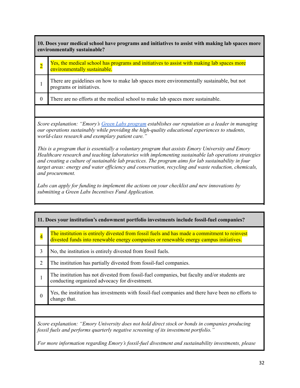**10. Does your medical school have programs and initiatives to assist with making lab spaces more environmentally sustainable?**

- $\overline{2}$ Yes, the medical school has programs and initiatives to assist with making lab spaces more environmentally sustainable.
- 1 There are guidelines on how to make lab spaces more environmentally sustainable, but not programs or initiatives.
- 0 There are no efforts at the medical school to make lab spaces more sustainable.

*Score explanation: "Emory's Green Labs [program](https://sustainability.emory.edu/programs/green-labs-at-emory/) establishes our reputation as a leader in managing our operations sustainably while providing the high-quality educational experiences to students, world-class research and exemplary patient care."*

*This is a program that is essentially a voluntary program that assists Emory University and Emory Healthcare research and teaching laboratories with implementing sustainable lab operations strategies and creating a culture of sustainable lab practices. The program aims for lab sustainability in four target areas: energy and water ef iciency and conservation, recycling and waste reduction, chemicals, and procurement.*

*Labs can apply for funding to implement the actions on your checklist and new innovations by submitting a Green Labs Incentives Fund Application.*

| 11. Does your institution's endowment portfolio investments include fossil-fuel companies?                                                                                              |                                                                                                                                                                                        |  |  |  |
|-----------------------------------------------------------------------------------------------------------------------------------------------------------------------------------------|----------------------------------------------------------------------------------------------------------------------------------------------------------------------------------------|--|--|--|
| $\overline{\mathbf{4}}$                                                                                                                                                                 | The institution is entirely divested from fossil fuels and has made a commitment to reinvest<br>divested funds into renewable energy companies or renewable energy campus initiatives. |  |  |  |
| 3                                                                                                                                                                                       | No, the institution is entirely divested from fossil fuels.                                                                                                                            |  |  |  |
| $\overline{2}$                                                                                                                                                                          | The institution has partially divested from fossil-fuel companies.                                                                                                                     |  |  |  |
|                                                                                                                                                                                         | The institution has not divested from fossil-fuel companies, but faculty and/or students are<br>conducting organized advocacy for divestment.                                          |  |  |  |
| $\Omega$                                                                                                                                                                                | Yes, the institution has investments with fossil-fuel companies and there have been no efforts to<br>change that.                                                                      |  |  |  |
|                                                                                                                                                                                         |                                                                                                                                                                                        |  |  |  |
| Score explanation: "Emory University does not hold direct stock or bonds in companies producing<br>fossil fuels and performs quarterly negative screening of its investment portfolio." |                                                                                                                                                                                        |  |  |  |
| For more information regarding Emory's fossil-fuel divestment and sustainability investments, please                                                                                    |                                                                                                                                                                                        |  |  |  |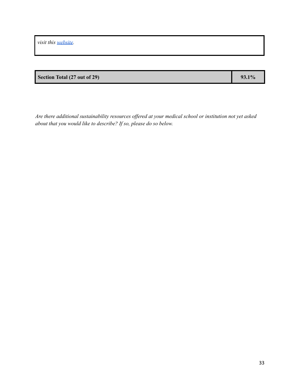*visit this [website](https://sustainability.emory.edu/programs/sustainable-investment/).*

### **Section Total** (27 **out** of 29) **93.1%**

*Are there additional sustainability resources of ered at your medical school or institution not yet asked*

*about that you would like to describe? If so, please do so below.*